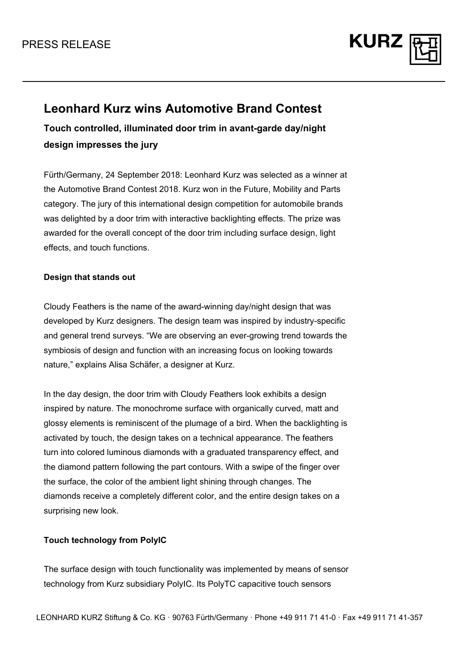

# **Leonhard Kurz wins Automotive Brand Contest**

**Touch controlled, illuminated door trim in avant-garde day/night design impresses the jury** 

Fürth/Germany, 24 September 2018: Leonhard Kurz was selected as a winner at the Automotive Brand Contest 2018. Kurz won in the Future, Mobility and Parts category. The jury of this international design competition for automobile brands was delighted by a door trim with interactive backlighting effects. The prize was awarded for the overall concept of the door trim including surface design, light effects, and touch functions.

### **Design that stands out**

Cloudy Feathers is the name of the award-winning day/night design that was developed by Kurz designers. The design team was inspired by industry-specific and general trend surveys. "We are observing an ever-growing trend towards the symbiosis of design and function with an increasing focus on looking towards nature," explains Alisa Schäfer, a designer at Kurz.

In the day design, the door trim with Cloudy Feathers look exhibits a design inspired by nature. The monochrome surface with organically curved, matt and glossy elements is reminiscent of the plumage of a bird. When the backlighting is activated by touch, the design takes on a technical appearance. The feathers turn into colored luminous diamonds with a graduated transparency effect, and the diamond pattern following the part contours. With a swipe of the finger over the surface, the color of the ambient light shining through changes. The diamonds receive a completely different color, and the entire design takes on a surprising new look.

### **Touch technology from PolyIC**

The surface design with touch functionality was implemented by means of sensor technology from Kurz subsidiary PolyIC. Its PolyTC capacitive touch sensors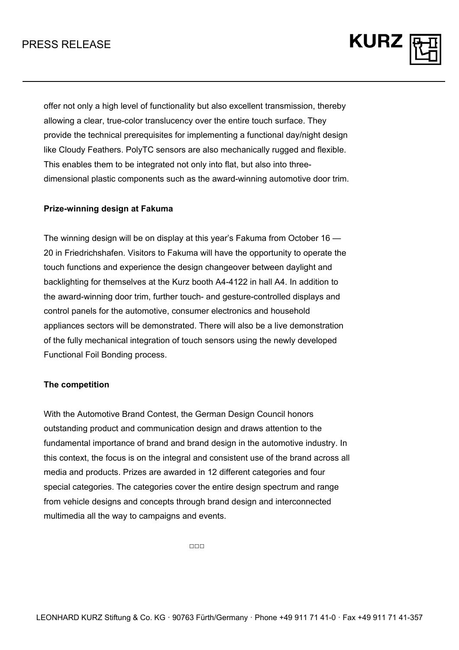## PRESS RELEASE

offer not only a high level of functionality but also excellent transmission, thereby allowing a clear, true-color translucency over the entire touch surface. They provide the technical prerequisites for implementing a functional day/night design like Cloudy Feathers. PolyTC sensors are also mechanically rugged and flexible. This enables them to be integrated not only into flat, but also into threedimensional plastic components such as the award-winning automotive door trim.

**KURZ** 

### **Prize-winning design at Fakuma**

The winning design will be on display at this year's Fakuma from October 16 — 20 in Friedrichshafen. Visitors to Fakuma will have the opportunity to operate the touch functions and experience the design changeover between daylight and backlighting for themselves at the Kurz booth A4-4122 in hall A4. In addition to the award-winning door trim, further touch- and gesture-controlled displays and control panels for the automotive, consumer electronics and household appliances sectors will be demonstrated. There will also be a live demonstration of the fully mechanical integration of touch sensors using the newly developed Functional Foil Bonding process.

#### **The competition**

With the Automotive Brand Contest, the German Design Council honors outstanding product and communication design and draws attention to the fundamental importance of brand and brand design in the automotive industry. In this context, the focus is on the integral and consistent use of the brand across all media and products. Prizes are awarded in 12 different categories and four special categories. The categories cover the entire design spectrum and range from vehicle designs and concepts through brand design and interconnected multimedia all the way to campaigns and events.

□□□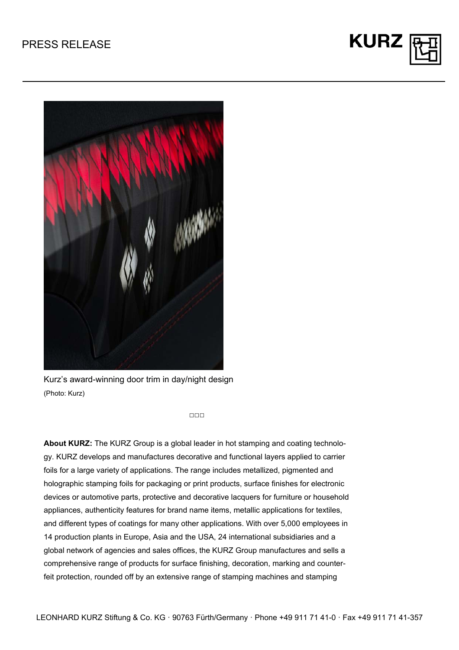



Kurz's award-winning door trim in day/night design (Photo: Kurz)

 $\Box \Box \Box$ 

**About KURZ:** The KURZ Group is a global leader in hot stamping and coating technology. KURZ develops and manufactures decorative and functional layers applied to carrier foils for a large variety of applications. The range includes metallized, pigmented and holographic stamping foils for packaging or print products, surface finishes for electronic devices or automotive parts, protective and decorative lacquers for furniture or household appliances, authenticity features for brand name items, metallic applications for textiles, and different types of coatings for many other applications. With over 5,000 employees in 14 production plants in Europe, Asia and the USA, 24 international subsidiaries and a global network of agencies and sales offices, the KURZ Group manufactures and sells a comprehensive range of products for surface finishing, decoration, marking and counterfeit protection, rounded off by an extensive range of stamping machines and stamping